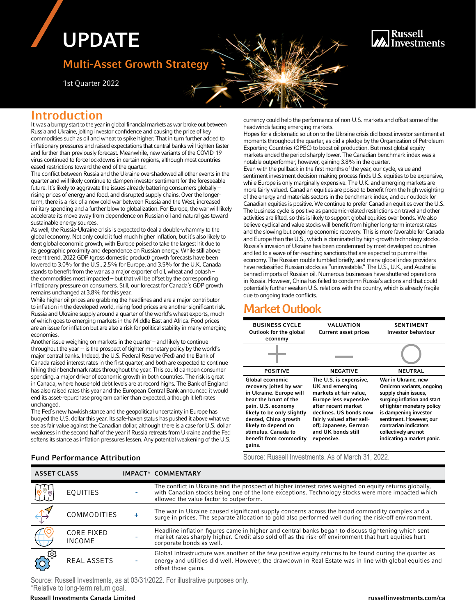# UPDATE

# Multi-Asset Growth Strategy

1st Quarter 2022

### Russell **Investments**

## Introduction

It was a bumpy start to the year in global financial markets as war broke out between Russia and Ukraine, jolting investor confidence and causing the price of key commodities such as oil and wheat to spike higher. That in turn further added to inflationary pressures and raised expectations that central banks will tighten faster and further than previously forecast. Meanwhile, new variants of the COVID-19 virus continued to force lockdowns in certain regions, although most countries eased restrictions toward the end of the quarter.

The conflict between Russia and the Ukraine overshadowed all other events in the quarter and will likely continue to dampen investor sentiment for the foreseeable future. It's likely to aggravate the issues already battering consumers globally – rising prices of energy and food, and disrupted supply chains. Over the longerterm, there is a risk of a new cold war between Russia and the West, increased military spending and a further blow to globalization. For Europe, the war will likely accelerate its move away from dependence on Russian oil and natural gas toward sustainable energy sources.

As well, the Russia-Ukraine crisis is expected to deal a double-whammy to the global economy. Not only could it fuel much higher inflation, but it's also likely to dent global economic growth, with Europe poised to take the largest hit due to its geographic proximity and dependence on Russian energy. While still above recent trend, 2022 GDP (gross domestic product) growth forecasts have been lowered to 3.0% for the U.S., 2.5% for Europe, and 3.5% for the U.K. Canada stands to benefit from the war as a major exporter of oil, wheat and potash – the commodities most impacted – but that will be offset by the corresponding inflationary pressure on consumers. Still, our forecast for Canada's GDP growth remains unchanged at 3.8% for this year.

While higher oil prices are grabbing the headlines and are a major contributor to inflation in the developed world, rising food prices are another significant risk. Russia and Ukraine supply around a quarter of the world's wheat exports, much of which goes to emerging markets in the Middle East and Africa. Food prices are an issue for inflation but are also a risk for political stability in many emerging economies.

Another issue weighing on markets in the quarter – and likely to continue throughout the year -- is the prospect of tighter monetary policy by the world's major central banks. Indeed, the U.S. Federal Reserve (Fed) and the Bank of Canada raised interest rates in the first quarter, and both are expected to continue hiking their benchmark rates throughout the year. This could dampen consumer spending, a major driver of economic growth in both countries. The risk is great in Canada, where household debt levels are at record highs. The Bank of England has also raised rates this year and the European Central Bank announced it would end its asset-repurchase program earlier than expected, although it left rates unchanged.

The Fed's new hawkish stance and the geopolitical uncertainty in Europe has buoyed the U.S. dollar this year. Its safe-haven status has pushed it above what we see as fair value against the Canadian dollar, although there is a case for U.S. dollar weakness in the second half of the year if Russia retreats from Ukraine and the Fed softens its stance as inflation pressures lessen. Any potential weakening of the U.S. currency could help the performance of non-U.S. markets and offset some of the headwinds facing emerging markets.

Hopes for a diplomatic solution to the Ukraine crisis did boost investor sentiment at moments throughout the quarter, as did a pledge by the Organization of Petroleum Exporting Countries (OPEC) to boost oil production. But most global equity markets ended the period sharply lower. The Canadian benchmark index was a notable outperformer, however, gaining 3.8% in the quarter. Even with the pullback in the first months of the year, our cycle, value and sentiment investment decision-making process finds U.S. equities to be expensive, while Europe is only marginally expensive. The U.K. and emerging markets are more fairly valued. Canadian equities are poised to benefit from the high weighting of the energy and materials sectors in the benchmark index, and our outlook for Canadian equities is positive. We continue to prefer Canadian equities over the U.S. The business cycle is positive as pandemic-related restrictions on travel and other activities are lifted, so this is likely to support global equities over bonds. We also believe cyclical and value stocks will benefit from higher long-term interest rates and the slowing but ongoing economic recovery. This is more favorable for Canada and Europe than the U.S., which is dominated by high-growth technology stocks. Russia's invasion of Ukraine has been condemned by most developed countries and led to a wave of far-reaching sanctions that are expected to pummel the economy. The Russian rouble tumbled briefly, and many global index providers have reclassified Russian stocks as "uninvestable." The U.S., U.K., and Australia banned imports of Russian oil. Numerous businesses have shuttered operations in Russia. However, China has failed to condemn Russia's actions and that could potentially further weaken U.S. relations with the country, which is already fragile due to ongoing trade conflicts.

# Market Outlook

| <b>BUSINESS CYCLE</b><br>Outlook for the global<br>economy                                                                                                                                                                                                  | VALUATION<br><b>Current asset prices</b>                                                                                                                                                                                                | <b>SENTIMENT</b><br><b>Investor behaviour</b>                                                                                                                                                                                                                            |
|-------------------------------------------------------------------------------------------------------------------------------------------------------------------------------------------------------------------------------------------------------------|-----------------------------------------------------------------------------------------------------------------------------------------------------------------------------------------------------------------------------------------|--------------------------------------------------------------------------------------------------------------------------------------------------------------------------------------------------------------------------------------------------------------------------|
|                                                                                                                                                                                                                                                             |                                                                                                                                                                                                                                         |                                                                                                                                                                                                                                                                          |
| <b>POSITIVE</b>                                                                                                                                                                                                                                             | <b>NEGATIVE</b>                                                                                                                                                                                                                         | NEUTRAL                                                                                                                                                                                                                                                                  |
| Global economic<br>recovery jolted by war<br>in Ukraine. Europe will<br>bear the brunt of the<br>pain. U.S. economy<br>likely to be only slightly<br>dented, China growth<br>likely to depend on<br>stimulus. Canada to<br>benefit from commodity<br>gains. | The U.S. is expensive,<br>UK and emerging<br>markets at fair value,<br>Europe less expensive<br>after recent market<br>declines. US bonds now<br>fairly valued after sell-<br>off; Japanese, German<br>and UK bonds still<br>expensive. | War in Ukraine, new<br>Omicron variants, ongoing<br>supply chain issues,<br>surging inflation and start<br>of tighter monetary policy<br>is dampening investor<br>sentiment. However, our<br>contrarian indicators<br>collectively are not<br>indicating a market panic. |

| <b>ASSET CLASS</b>                    |                                    |   | IMPACT* COMMENTARY                                                                                                                                                                                                                                    |
|---------------------------------------|------------------------------------|---|-------------------------------------------------------------------------------------------------------------------------------------------------------------------------------------------------------------------------------------------------------|
| $\overline{\mathcal{P}}_{\bigotimes}$ | <b>EQUITIES</b>                    |   | The conflict in Ukraine and the prospect of higher interest rates weighed on equity returns globally,<br>with Canadian stocks being one of the lone exceptions. Technology stocks were more impacted which<br>allowed the value factor to outperform. |
|                                       | <b>COMMODITIES</b>                 | ÷ | The war in Ukraine caused significant supply concerns across the broad commodity complex and a<br>surge in prices. The separate allocation to gold also performed well during the risk-off environment.                                               |
|                                       | <b>CORE FIXED</b><br><b>INCOME</b> |   | Headline inflation figures came in higher and central banks began to discuss tightening which sent<br>market rates sharply higher. Credit also sold off as the risk-off environment that hurt equities hurt<br>corporate bonds as well.               |
|                                       | REAL ASSETS                        |   | Global Infrastructure was another of the few positive equity returns to be found during the quarter as<br>energy and utilities did well. However, the drawdown in Real Estate was in line with global equities and<br>offset those gains.             |

Source: Russell Investments, as at 03/31/2022. For illustrative purposes only. \*Relative to long-term return goal.

#### **Fund Performance Attribution** Source: Russell Investments. As of March 31, 2022.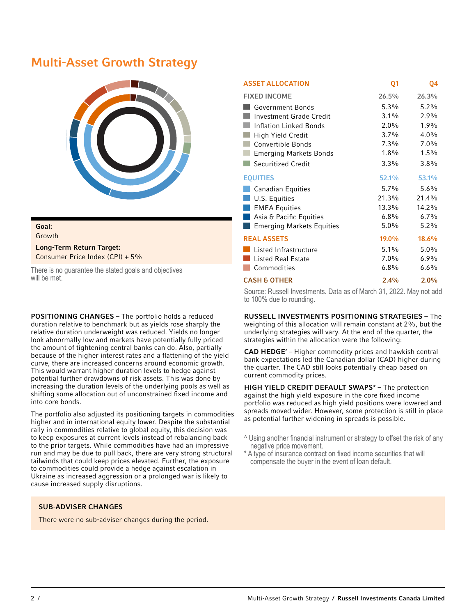# Multi-Asset Growth Strategy Multi-Asset Growth Strategy



# Goal:

Growth

Long-Term Return Target: Consumer Price Index (CPI) + 5%

There is no guarantee the stated goals and objectives will be met.

POSITIONING CHANGES – The portfolio holds a reduced duration relative to benchmark but as yields rose sharply the relative duration underweight was reduced. Yields no longer look abnormally low and markets have potentially fully priced the amount of tightening central banks can do. Also, partially because of the higher interest rates and a flattening of the yield curve, there are increased concerns around economic growth. This would warrant higher duration levels to hedge against potential further drawdowns of risk assets. This was done by increasing the duration levels of the underlying pools as well as shifting some allocation out of unconstrained fixed income and into core bonds.

The portfolio also adjusted its positioning targets in commodities higher and in international equity lower. Despite the substantial rally in commodities relative to global equity, this decision was to keep exposures at current levels instead of rebalancing back to the prior targets. While commodities have had an impressive run and may be due to pull back, there are very strong structural tailwinds that could keep prices elevated. Further, the exposure to commodities could provide a hedge against escalation in Ukraine as increased aggression or a prolonged war is likely to cause increased supply disruptions.

#### SUB-ADVISER CHANGES

There were no sub-adviser changes during the period.

| <b>ASSET ALLOCATION</b>          | Q1      | 04       |
|----------------------------------|---------|----------|
| <b>FIXED INCOME</b>              | 26.5%   | 26.3%    |
| <b>Government Bonds</b>          | $5.3\%$ | 5.2%     |
| Investment Grade Credit          | $3.1\%$ | 2.9%     |
| <b>Inflation Linked Bonds</b>    | $2.0\%$ | 1.9%     |
| High Yield Credit                | $3.7\%$ | $4.0\%$  |
| Convertible Bonds                | $7.3\%$ | $7.0\%$  |
| <b>Emerging Markets Bonds</b>    | $1.8\%$ | $1.5\%$  |
| Securitized Credit               | $3.3\%$ | $3.8\%$  |
| <b>EOUITIES</b>                  | 52.1%   | 53.1%    |
| <b>Canadian Equities</b>         | 5.7%    | 5.6%     |
| U.S. Equities                    | 21.3%   | 21.4%    |
| <b>EMEA Equities</b>             | 13.3%   | $14.2\%$ |
| Asia & Pacific Equities          | $6.8\%$ | 6.7%     |
| <b>Emerging Markets Equities</b> | $5.0\%$ | $5.2\%$  |
| <b>REAL ASSETS</b>               | 19.0%   | 18.6%    |
| Listed Infrastructure            | 5.1%    | 5.0%     |
| Listed Real Estate               | $7.0\%$ | 6.9%     |
| Commodities                      | $6.8\%$ | $6.6\%$  |
| <b>CASH &amp; OTHER</b>          | 2.4%    | $2.0\%$  |

Source: Russell Investments. Data as of March 31, 2022. May not add to 100% due to rounding.

RUSSELL INVESTMENTS POSITIONING STRATEGIES – The weighting of this allocation will remain constant at 2%, but the underlying strategies will vary. At the end of the quarter, the strategies within the allocation were the following:

CAD HEDGE^ – Higher commodity prices and hawkish central bank expectations led the Canadian dollar (CAD) higher during the quarter. The CAD still looks potentially cheap based on current commodity prices.

HIGH YIELD CREDIT DEFAULT SWAPS\* – The protection against the high yield exposure in the core fixed income portfolio was reduced as high yield positions were lowered and spreads moved wider. However, some protection is still in place as potential further widening in spreads is possible.

- ^ Using another financial instrument or strategy to offset the risk of any negative price movement.
- \* A type of insurance contract on fixed income securities that will compensate the buyer in the event of loan default.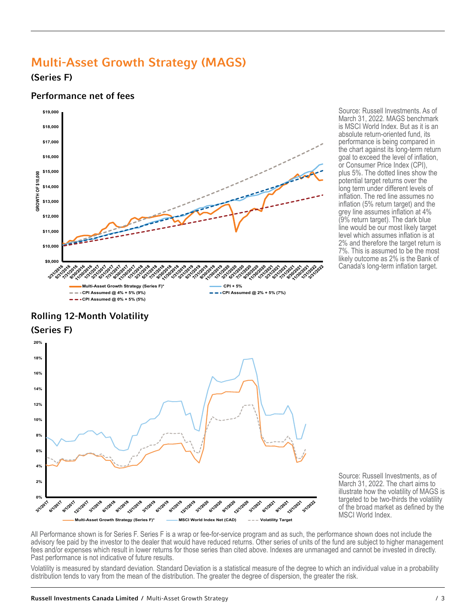# Multi-Asset Growth Strategy (MAGS)

(Series F)

#### Performance net of fees



Source: Russell Investments. As of March 31, 2022. MAGS benchmark is MSCI World Index. But as it is an absolute return-oriented fund, its performance is being compared in the chart against its long-term return goal to exceed the level of inflation, or Consumer Price Index (CPI), plus 5%. The dotted lines show the potential target returns over the long term under different levels of inflation. The red line assumes no inflation (5% return target) and the grey line assumes inflation at 4% (9% return target). The dark blue line would be our most likely target level which assumes inflation is at 2% and therefore the target return is 7%. This is assumed to be the most likely outcome as 2% is the Bank of Canada's long-term inflation target.

## Rolling 12-Month Volatility (Series F)



Source: Russell Investments, as of March 31, 2022. The chart aims to illustrate how the volatility of MAGS is targeted to be two-thirds the volatility of the broad market as defined by the MSCI World Index.

All Performance shown is for Series F. Series F is a wrap or fee-for-service program and as such, the performance shown does not include the advisory fee paid by the investor to the dealer that would have reduced returns. Other series of units of the fund are subject to higher management fees and/or expenses which result in lower returns for those series than cited above. Indexes are unmanaged and cannot be invested in directly.<br>Past performance is not indicative of future results.

Volatility is measured by standard deviation. Standard Deviation is a statistical measure of the degree to which an individual value in a probability distribution tends to vary from the mean of the distribution. The greater the degree of dispersion, the greater the risk.